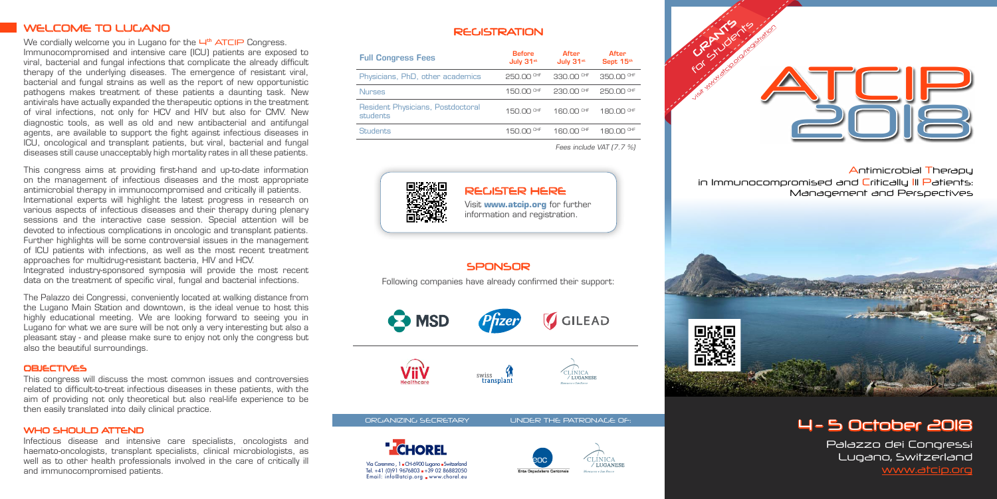Antimicrobial Therapy in Immunocompromised and Critically III Patients: Management and Perspectives

# WELCOME TO LUGANO

We cordially welcome you in Lugano for the  $H<sup>th</sup>$  ATCIP Congress. Immunocompromised and intensive care (ICU) patients are exposed to viral, bacterial and fungal infections that complicate the already difficult therapy of the underlying diseases. The emergence of resistant viral, bacterial and fungal strains as well as the report of new opportunistic pathogens makes treatment of these patients a daunting task. New antivirals have actually expanded the therapeutic options in the treatment of viral infections, not only for HCV and HIV but also for CMV. New diagnostic tools, as well as old and new antibacterial and antifungal agents, are available to support the fight against infectious diseases in ICU, oncological and transplant patients, but viral, bacterial and fungal diseases still cause unacceptably high mortality rates in all these patients.

This congress aims at providing first-hand and up-to-date information on the management of infectious diseases and the most appropriate antimicrobial therapy in immunocompromised and critically ill patients. International experts will highlight the latest progress in research on various aspects of infectious diseases and their therapy during plenary sessions and the interactive case session. Special attention will be devoted to infectious complications in oncologic and transplant patients. Further highlights will be some controversial issues in the management of ICU patients with infections, as well as the most recent treatment approaches for multidrug-resistant bacteria, HIV and HCV. Integrated industry-sponsored symposia will provide the most recent data on the treatment of specific viral, fungal and bacterial infections.

The Palazzo dei Congressi, conveniently located at walking distance from the Lugano Main Station and downtown, is the ideal venue to host this highly educational meeting. We are looking forward to seeing you in Lugano for what we are sure will be not only a very interesting but also a pleasant stay - and please make sure to enjoy not only the congress but also the beautiful surroundings.

#### **OBIECTIVES**

This congress will discuss the most common issues and controversies related to difficult-to-treat infectious diseases in these patients, with the aim of providing not only theoretical but also real-life experience to be then easily translated into daily clinical practice.

#### WHO SHOULD ATTEND

Infectious disease and intensive care specialists, oncologists and haemato-oncologists, transplant specialists, clinical microbiologists, as well as to other health professionals involved in the care of critically ill and immunocompromised patients.

# **REGISTRATION**



# 4 - 5 October 2018

Palazzo dei Congressi Lugano, Switzerland www.atcip.org



| <b>Full Congress Fees</b>                     | <b>Before</b><br>July 31st | After<br>July 31st | After<br>Sept 15th    |
|-----------------------------------------------|----------------------------|--------------------|-----------------------|
| Physicians, PhD, other academics              | 250.00 CHF                 | 330.00 CHF         | 350.00 CHF            |
| <b>Nurses</b>                                 | 150.00 CHF                 | 230.00 CHF         | 250,00 CHF            |
| Resident Physicians, Postdoctoral<br>students | 150.00 CHF                 | 160.00 CHF         | 180.00 <sup>CHF</sup> |
| <b>Students</b>                               | 150.00 CHF                 | $160.00$ CHF       | 180.00 CHF            |
|                                               | Fees include VAT [7.7 %]   |                    |                       |



Visit **www.atcip.org** for further information and registration.

# **SPONSOR**

# REGISTER HERE

Following companies have already confirmed their support: